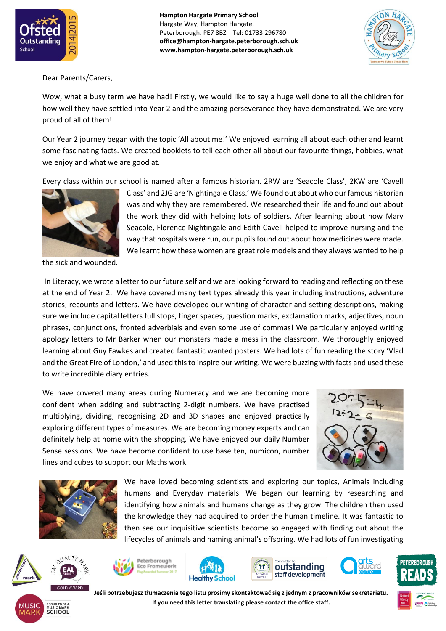

**Hampton Hargate Primary School** Hargate Way, Hampton Hargate, Peterborough. PE7 8BZ Tel: 01733 296780 **office@hampton-hargate.peterborough.sch.uk www.hampton-hargate.peterborough.sch.uk**



Dear Parents/Carers,

Wow, what a busy term we have had! Firstly, we would like to say a huge well done to all the children for how well they have settled into Year 2 and the amazing perseverance they have demonstrated. We are very proud of all of them!

Our Year 2 journey began with the topic 'All about me!' We enjoyed learning all about each other and learnt some fascinating facts. We created booklets to tell each other all about our favourite things, hobbies, what we enjoy and what we are good at.

Every class within our school is named after a famous historian. 2RW are 'Seacole Class', 2KW are 'Cavell



the sick and wounded.

Class' and 2JG are 'Nightingale Class.' We found out about who our famous historian was and why they are remembered. We researched their life and found out about the work they did with helping lots of soldiers. After learning about how Mary Seacole, Florence Nightingale and Edith Cavell helped to improve nursing and the way that hospitals were run, our pupils found out about how medicines were made. We learnt how these women are great role models and they always wanted to help

In Literacy, we wrote a letter to our future self and we are looking forward to reading and reflecting on these at the end of Year 2. We have covered many text types already this year including instructions, adventure stories, recounts and letters. We have developed our writing of character and setting descriptions, making sure we include capital letters full stops, finger spaces, question marks, exclamation marks, adjectives, noun phrases, conjunctions, fronted adverbials and even some use of commas! We particularly enjoyed writing apology letters to Mr Barker when our monsters made a mess in the classroom. We thoroughly enjoyed learning about Guy Fawkes and created fantastic wanted posters. We had lots of fun reading the story 'Vlad and the Great Fire of London,' and used this to inspire our writing. We were buzzing with facts and used these to write incredible diary entries.

We have covered many areas during Numeracy and we are becoming more confident when adding and subtracting 2-digit numbers. We have practised multiplying, dividing, recognising 2D and 3D shapes and enjoyed practically exploring different types of measures. We are becoming money experts and can definitely help at home with the shopping. We have enjoyed our daily Number Sense sessions. We have become confident to use base ten, numicon, number lines and cubes to support our Maths work.





We have loved becoming scientists and exploring our topics, Animals including humans and Everyday materials. We began our learning by researching and identifying how animals and humans change as they grow. The children then used the knowledge they had acquired to order the human timeline. It was fantastic to then see our inquisitive scientists become so engaged with finding out about the lifecycles of animals and naming animal's offspring. We had lots of fun investigating













**Jeśli potrzebujesz tłumaczenia tego listu prosimy skontaktować się z jednym z pracowników sekretariatu. If you need this letter translating please contact the office staff.**